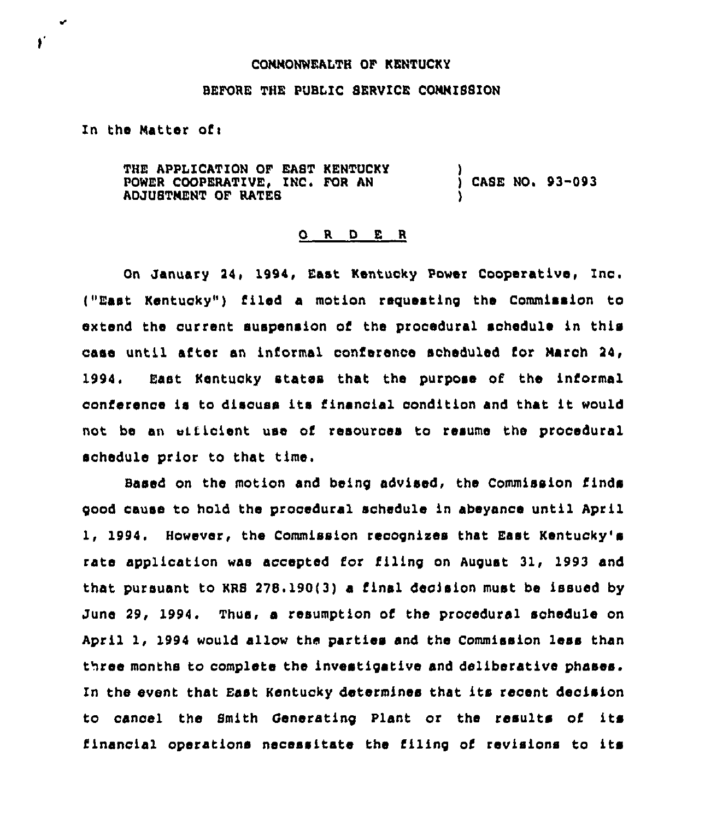## COMMONWEALTH OF KENTUCKY

## BEFORE THE PUBLIC SERVICE CONNISSION

In the Matter ofi

 $\mathbf{r}$ 

ſ.

THE APPLICATION QF EAST KENTUCKY POWER COOPERATIVE, INC. FOR AN ADJUSTNENT OF RATES ) CASE NO. 93-093 )

## 0 <sup>R</sup> <sup>D</sup> E <sup>R</sup>

On January 24, 1994, East Kentucky Power Cooperative, Inc. ("East Kentucky" ) filed a motion requesting the Commission to eztend the current suspension of the procedural sohedule in this case until after an informal conference scheduled for March 24, 1994, East Kentucky states that the purpose of the informal conference is to discuss its financial condition and that it would not be an vificient use of resources to resume the procedural schedule prior to that time.

Based on the motion and being advised< the Commission finds good cause to hold the procedural schedule in abeyance until April 1, 1994. However, the Commission recognizes that East Kentucky's rate application was accepted for filing on August 31, 1993 and that pursuant to KRS 278. 190(3) a final decision must be issued by June 29, 1994. Thus, a resumption of the procedural schedule on April 1, 1994 would allow the parties and the Commission less than three months to complete the investigative and deliberative phases. In the event that East Kentucky determines that its recent decision to cancel the Smith Cenersting Plant or the results of its financial operations necessitate the filing of revisions to its